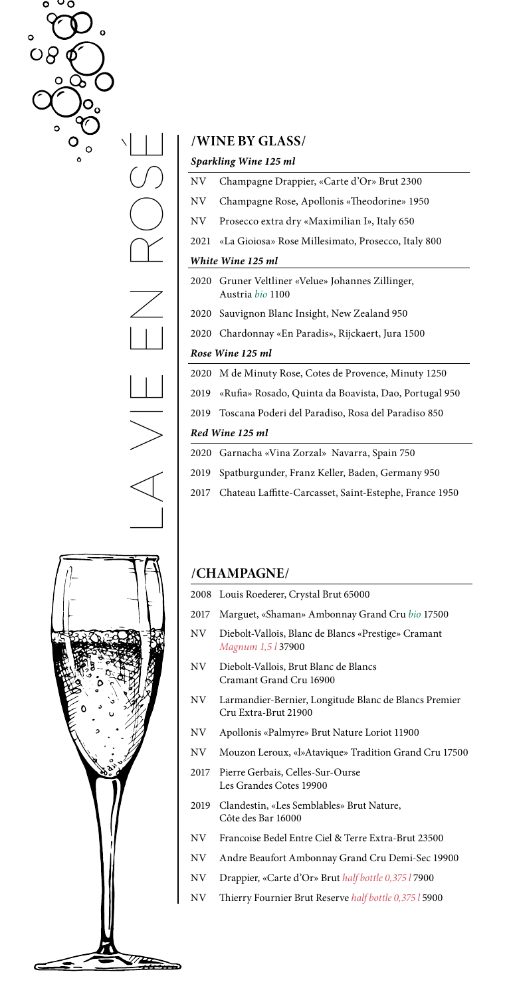$\circ \circ \circ$  $\alpha$  $\circ$  $\circ$ O  $\circ$ 

# LA VIE EN ROS  $\setminus \bigsqcup$

# **/WINE BY GLASS/**

|      | Sparkling Wine 125 ml                                                 |
|------|-----------------------------------------------------------------------|
| NV   | Champagne Drappier, «Carte d'Or» Brut 2300                            |
| NV.  | Champagne Rose, Apollonis «Theodorine» 1950                           |
| NV.  | Prosecco extra dry «Maximilian I», Italy 650                          |
| 2021 | «La Gioiosa» Rose Millesimato, Prosecco, Italy 800                    |
|      | White Wine 125 ml                                                     |
|      | 2020 Gruner Veltliner «Velue» Johannes Zillinger,<br>Austria bio 1100 |
|      | 2020 Sauvignon Blanc Insight, New Zealand 950                         |
|      | 2020 Chardonnay «En Paradis», Rijckaert, Jura 1500                    |
|      | Rose Wine 125 ml                                                      |
| 2020 | M de Minuty Rose, Cotes de Provence, Minuty 1250                      |
| 2019 | «Rufia» Rosado, Quinta da Boavista, Dao, Portugal 950                 |
| 2019 | Toscana Poderi del Paradiso, Rosa del Paradiso 850                    |
|      | Red Wine 125 ml                                                       |
|      | 2020 Garnacha «Vina Zorzal» Navarra Spain 750                         |

| 2019 Spatburgunder, Franz Keller, Baden, Germany 950        |
|-------------------------------------------------------------|
| 2017 Chateau Laffitte-Carcasset, Saint-Estephe, France 1950 |



# **/CHAMPAGNE/**

|     | 2008 Louis Roederer, Crystal Brut 65000                                          |
|-----|----------------------------------------------------------------------------------|
|     | 2017 Marguet, «Shaman» Ambonnay Grand Cru bio 17500                              |
| NV. | Diebolt-Vallois, Blanc de Blancs «Prestige» Cramant<br>Magnum 1,5 <i>l</i> 37900 |

- NV Diebolt-Vallois, Brut Blanc de Blancs Cramant Grand Cru 16900
- NV Larmandier-Bernier, Longitude Blanc de Blancs Premier Cru Extra-Brut 21900
- NV Apollonis «Palmyre» Brut Nature Loriot 11900
- NV Mouzon Leroux, «l»Atavique» Tradition Grand Cru 17500
- 2017 Pierre Gerbais, Celles-Sur-Ourse Les Grandes Cotes 19900
- 2019 Clandestin, «Les Semblables» Brut Nature, Côte des Bar 16000
- NV Francoise Bedel Entre Ciel & Terre Extra-Brut 23500
- NV Andre Beaufort Ambonnay Grand Cru Demi-Sec 19900
- NV Drappier, «Carte d'Or» Brut *half bottle 0,375 l* 7900
- NV Thierry Fournier Brut Reserve *half bottle 0,375 l* 5900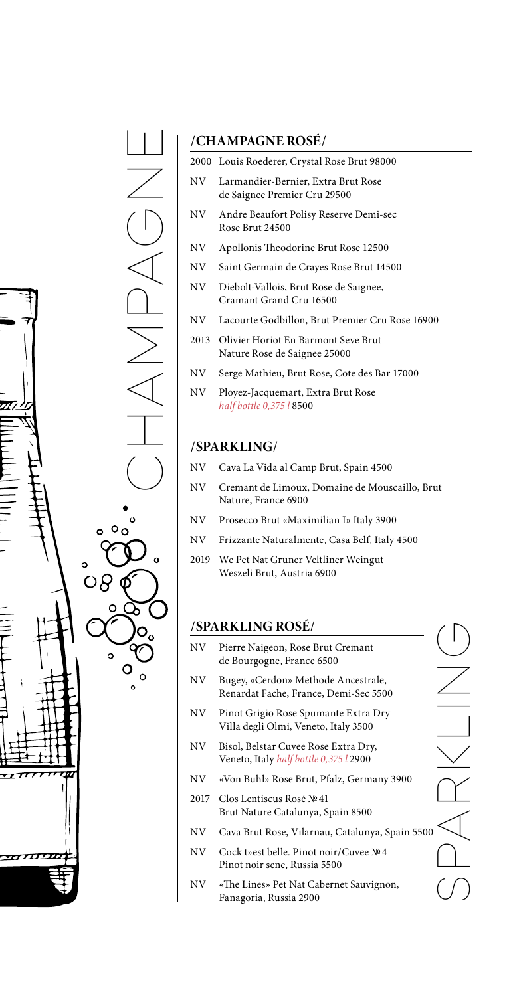

# **/CHAMPAGNE ROSÉ /**

| NV. | Larmandier-Bernier, Extra Brut Rose<br>de Saignee Premier Cru 29500      |
|-----|--------------------------------------------------------------------------|
| NV. | Andre Beaufort Polisy Reserve Demi-sec<br>Rose Brut 24500                |
| NV  | Apollonis Theodorine Brut Rose 12500                                     |
| NV. | Saint Germain de Crayes Rose Brut 14500                                  |
| NV. | Diebolt-Vallois, Brut Rose de Saignee,<br>Cramant Grand Cru 16500        |
| NV. | Lacourte Godbillon, Brut Premier Cru Rose 16900                          |
|     | 2013 Olivier Horiot En Barmont Seve Brut<br>Nature Rose de Saignee 25000 |
|     |                                                                          |

2000 Louis Roederer, Crystal Rose Brut 98000

- NV Serge Mathieu, Brut Rose, Cote des Bar 17000
- NV Ployez-Jacquemart, Extra Brut Rose *half bottle 0,375 l* 8500

## **/SPARKLING /**

- NV Cava La Vida al Camp Brut, Spain 4500
- NV Cremant de Limoux, Domaine de Mouscaillo, Brut Nature, France 6900
- NV Prosecco Brut «Maximilian I» Italy 3900
- NV Frizzante Naturalmente, Casa Belf, Italy 4500
- 2019 We Pet Nat Gruner Veltliner Weingut Weszeli Brut, Austria 6900

# **/SPARKLING ROSÉ /**

- NV Pierre Naigeon, Rose Brut Cremant de Bourgogne, France 6500
- NV Bugey, «Cerdon» Methode Ancestrale, Renardat Fache, France, Demi-Sec 5500
- NV Pinot Grigio Rose Spumante Extra Dry Villa degli Olmi, Veneto, Italy 3500
- NV Bisol, Belstar Cuvee Rose Extra Dry, Veneto, Italy *half bottle 0,375 l* 2900
- NV «Von Buhl» Rose Brut, Pfalz, Germany 3900
- 2017 Clos Lentiscus Rosé №41 Brut Nature Catalunya, Spain 8500
- NV Cava Brut Rose, Vilarnau, Catalunya, Spain 5500
- NV Cock t»est belle. Pinot noir /Cuvee №4 Pinot noir sene, Russia 5500
- NV «The Lines» Pet Nat Cabernet Sauvignon, Fanagoria, Russia 2900

SPARKLING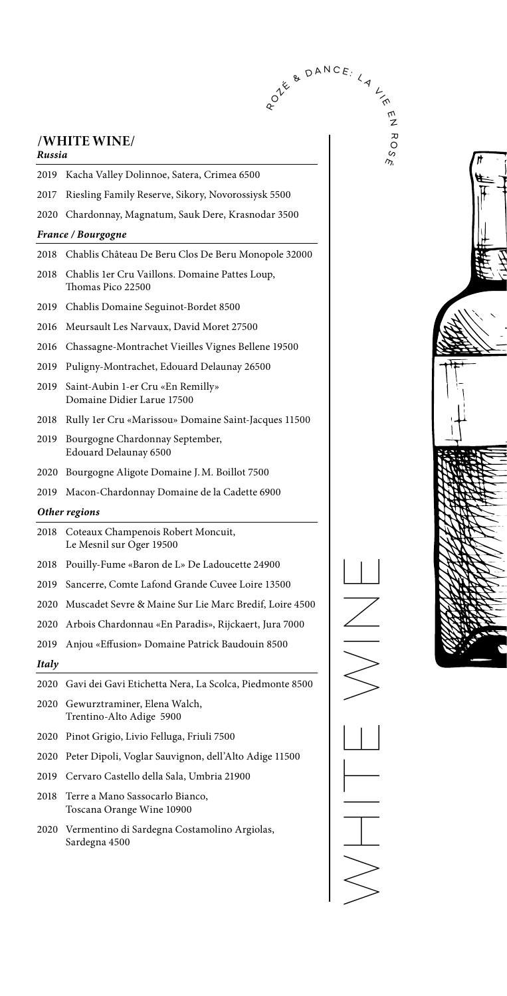# **/WHITE WINE /**

| Russia |                                                                     |
|--------|---------------------------------------------------------------------|
| 2019   | Kacha Valley Dolinnoe, Satera, Crimea 6500                          |
| 2017   | Riesling Family Reserve, Sikory, Novorossiysk 5500                  |
| 2020   | Chardonnay, Magnatum, Sauk Dere, Krasnodar 3500                     |
|        | France / Bourgogne                                                  |
| 2018   | Chablis Château De Beru Clos De Beru Monopole 32000                 |
| 2018   | Chablis 1er Cru Vaillons. Domaine Pattes Loup,<br>Thomas Pico 22500 |
| 2019   | Chablis Domaine Seguinot-Bordet 8500                                |
| 2016   | Meursault Les Narvaux, David Moret 27500                            |
| 2016   | Chassagne-Montrachet Vieilles Vignes Bellene 19500                  |
| 2019   | Puligny-Montrachet, Edouard Delaunay 26500                          |
| 2019   | Saint-Aubin 1-er Cru «En Remilly»<br>Domaine Didier Larue 17500     |
| 2018   | Rully 1er Cru «Marissou» Domaine Saint-Jacques 11500                |
| 2019   | Bourgogne Chardonnay September,<br>Edouard Delaunay 6500            |
| 2020   | Bourgogne Aligote Domaine J.M. Boillot 7500                         |
| 2019   | Macon-Chardonnay Domaine de la Cadette 6900                         |
|        | Other regions                                                       |
| 2018   | Coteaux Champenois Robert Moncuit,<br>Le Mesnil sur Oger 19500      |
| 2018   | Pouilly-Fume «Baron de L» De Ladoucette 24900                       |
| 2019   | Sancerre, Comte Lafond Grande Cuvee Loire 13500                     |
| 2020   | Muscadet Sevre & Maine Sur Lie Marc Bredif, Loire 4500              |
| 2020   | Arbois Chardonnau «En Paradis», Rijckaert, Jura 7000                |
| 2019   | Anjou «Effusion» Domaine Patrick Baudouin 8500                      |
| Italy  |                                                                     |
|        |                                                                     |
|        | 2020   Gavi dei Gavi Etichetta Nera, La Scolca, Piedmonte 8500      |
|        | 2020 Gewurztraminer, Elena Walch,<br>Trentino-Alto Adige 5900       |
| 2020   | Pinot Grigio, Livio Felluga, Friuli 7500                            |
| 2020   | Peter Dipoli, Voglar Sauvignon, dell'Alto Adige 11500               |
| 2019   | Cervaro Castello della Sala, Umbria 21900                           |
| 2018   | Terre a Mano Sassocarlo Bianco,<br>Toscana Orange Wine 10900        |

NE VINE WHITS WHIT

R OANCE: LA

 $\frac{1}{\sqrt{2}}$ 

m<br>Z

R O S É

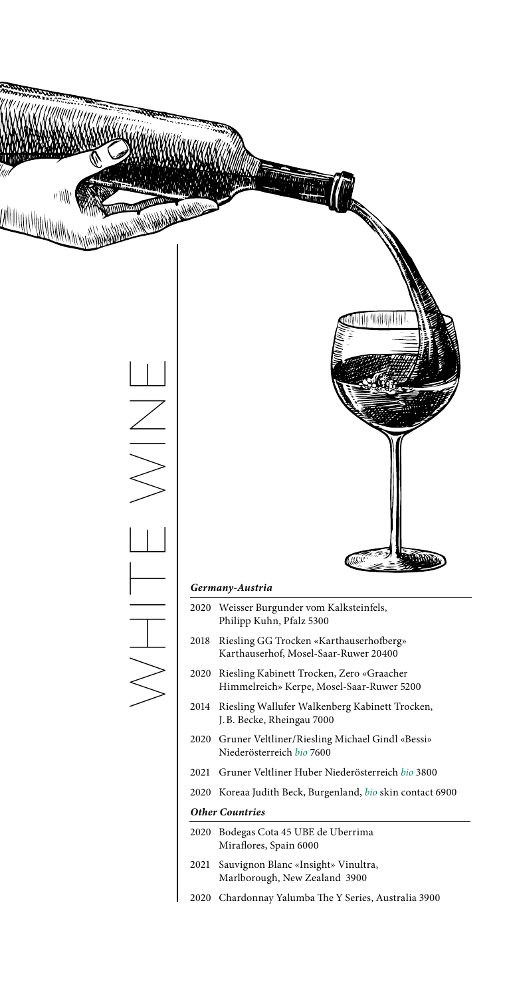

### *Other Countries*

- 2020 Bodegas Cota 45 UBE de Uberrima Miraflores, Spain 6000
- 2021 Sauvignon Blanc «Insight» Vinultra, Marlborough, New Zealand 3900
- 2020 Chardonnay Yalumba The Y Series, Australia 3900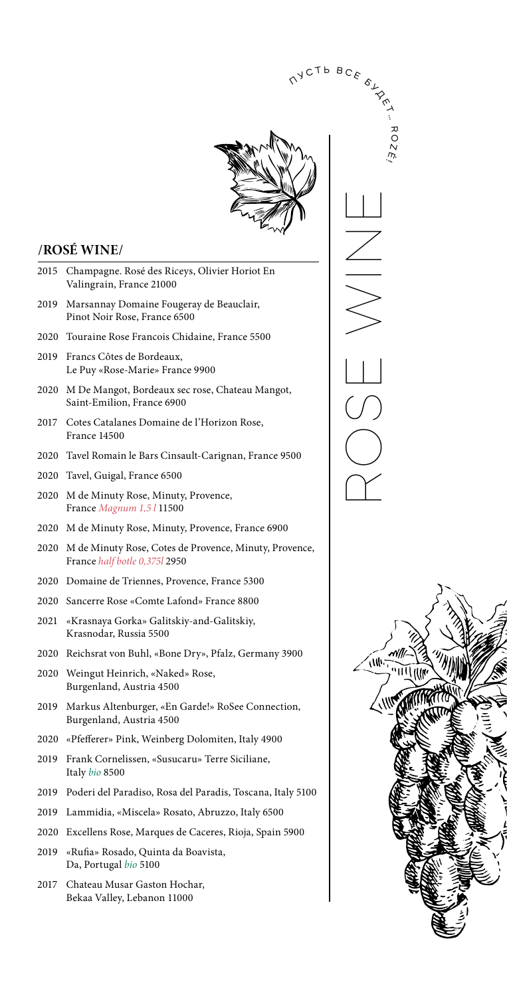

 $\Diamond$ 

### **/ROSÉ WINE/**

- 2015 Champagne. Rosé des Riceys, Olivier Horiot En Valingrain, France 21000
- 2019 Marsannay Domaine Fougeray de Beauclair, Pinot Noir Rose, France 6500
- 2020 Touraine Rose Francois Chidaine, France 5500
- 2019 Francs Côtes de Bordeaux, Le Puy «Rose-Marie» France 9900
- 2020 M De Mangot, Bordeaux sec rose, Chateau Mangot, Saint-Emilion, France 6900
- 2017 Cotes Catalanes Domaine de l'Horizon Rose, France 14500
- 2020 Tavel Romain le Bars Cinsault-Carignan, France 9500
- 2020 Tavel, Guigal, France 6500
- 2020 M de Minuty Rose, Minuty, Provence, France *Magnum 1,5 l* 11500
- 2020 M de Minuty Rose, Minuty, Provence, France 6900
- 2020 M de Minuty Rose, Cotes de Provence, Minuty, Provence, France *half botle 0,375l* 2950
- 2020 Domaine de Triennes, Provence, France 5300
- 2020 Sancerre Rose «Comte Lafond» France 8800
- 2021 «Krasnaya Gorka» Galitskiy-and-Galitskiy, Krasnodar, Russia 5500
- 2020 Reichsrat von Buhl, «Bone Dry», Pfalz, Germany 3900
- 2020 Weingut Heinrich, «Naked» Rose, Burgenland, Austria 4500
- 2019 Markus Altenburger, «En Garde!» RoSee Connection, Burgenland, Austria 4500
- 2020 «Pfefferer» Pink, Weinberg Dolomiten, Italy 4900
- 2019 Frank Cornelissen, «Susucaru» Terre Siciliane, Italy *bio* 8500
- 2019 Poderi del Paradiso, Rosa del Paradis, Toscana, Italy 5100
- 2019 Lammidia, «Miscela» Rosato, Abruzzo, Italy 6500
- 2020 Excellens Rose, Marques de Caceres, Rioja, Spain 5900
- 2019 «Rufia» Rosado, Quinta da Boavista, Da, Portugal *bio* 5100
- 2017 Chateau Musar Gaston Hochar, Bekaa Valley, Lebanon 11000

ROSE WINE **VYCTBBCE STAR** ᆽ O N  $\tilde{\kappa}$ 

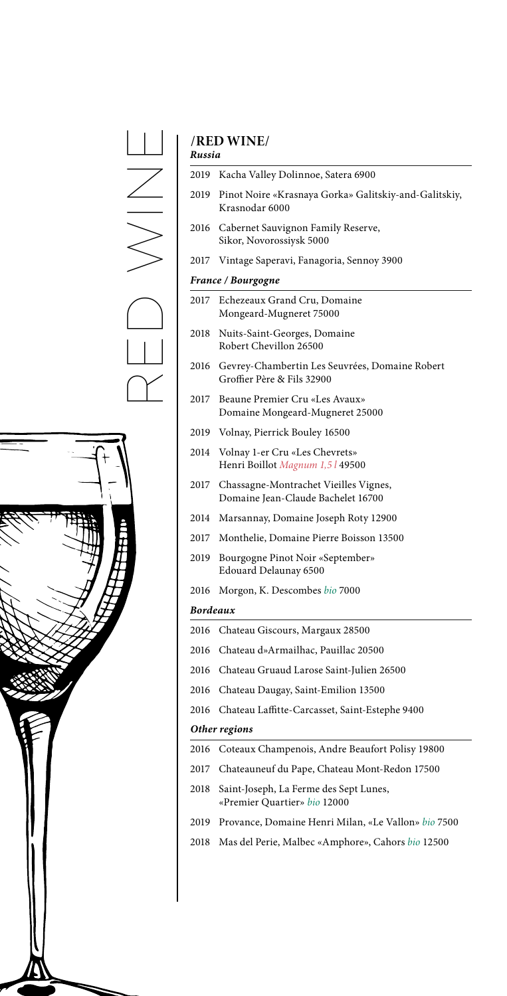$\frac{\Box}{\angle}$ RED WINE $\overline{\phantom{a}}$  $\Box$ <br> $\Box$  $\overline{\phantom{0}}$ Y



# **/RED WINE/**

| Russia   |                                                                              |
|----------|------------------------------------------------------------------------------|
| 2019     | Kacha Valley Dolinnoe, Satera 6900                                           |
| 2019     | Pinot Noire «Krasnaya Gorka» Galitskiy-and-Galitskiy,<br>Krasnodar 6000      |
| 2016     | Cabernet Sauvignon Family Reserve,<br>Sikor, Novorossiysk 5000               |
| 2017     | Vintage Saperavi, Fanagoria, Sennoy 3900                                     |
|          | <b>France / Bourgogne</b>                                                    |
| 2017     | Echezeaux Grand Cru, Domaine<br>Mongeard-Mugneret 75000                      |
| 2018     | Nuits-Saint-Georges, Domaine<br>Robert Chevillon 26500                       |
| 2016     | Gevrey-Chambertin Les Seuvrées, Domaine Robert<br>Groffier Père & Fils 32900 |
| 2017     | Beaune Premier Cru «Les Avaux»<br>Domaine Mongeard-Mugneret 25000            |
| 2019     | Volnay, Pierrick Bouley 16500                                                |
| 2014     | Volnay 1-er Cru «Les Chevrets»<br>Henri Boillot Magnum 1,5 l 49500           |
| 2017     | Chassagne-Montrachet Vieilles Vignes,<br>Domaine Jean-Claude Bachelet 16700  |
| 2014     | Marsannay, Domaine Joseph Roty 12900                                         |
|          | 2017 Monthelie, Domaine Pierre Boisson 13500                                 |
| 2019     | Bourgogne Pinot Noir «September»<br>Edouard Delaunay 6500                    |
| 2016     | Morgon, K. Descombes bio 7000                                                |
| Bordeaux |                                                                              |
| 2016     | Chateau Giscours, Margaux 28500                                              |
| 2016     | Chateau d»Armailhac, Pauillac 20500                                          |
| 2016     | Chateau Gruaud Larose Saint-Julien 26500                                     |
| 2016     | Chateau Daugay, Saint-Emilion 13500                                          |
| 2016     | Chateau Laffitte-Carcasset, Saint-Estephe 9400                               |
|          | Other regions                                                                |
| 2016     | Coteaux Champenois, Andre Beaufort Polisy 19800                              |
| 2017     | Chateauneuf du Pape, Chateau Mont-Redon 17500                                |
| 2018     | Saint-Joseph, La Ferme des Sept Lunes,<br>«Premier Quartier» bio 12000       |
| 2019     | Provance, Domaine Henri Milan, «Le Vallon» bio 7500                          |
| 2018     | Mas del Perie, Malbec «Amphore», Cahors bio 12500                            |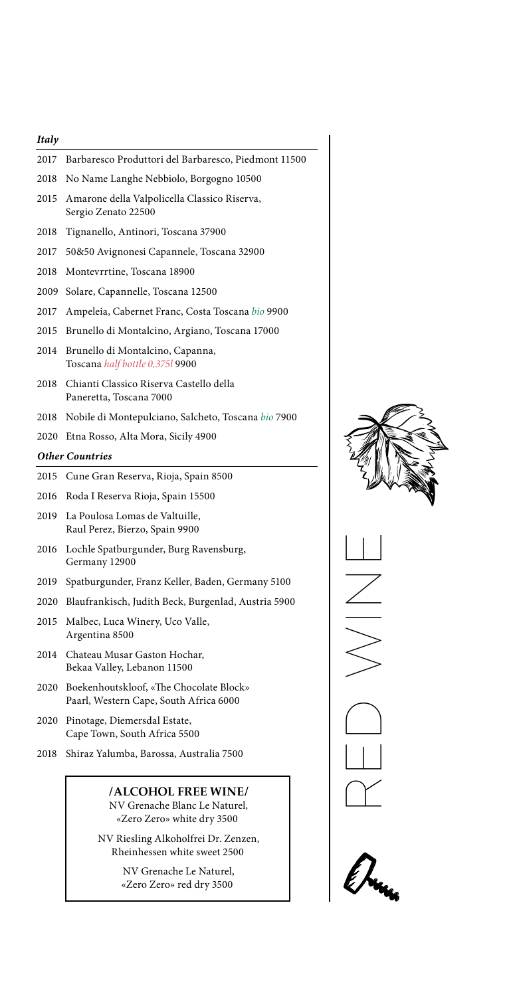### *Italy*

| 2017 | Barbaresco Produttori del Barbaresco, Piedmont 11500                |
|------|---------------------------------------------------------------------|
| 2018 | No Name Langhe Nebbiolo, Borgogno 10500                             |
| 2015 | Amarone della Valpolicella Classico Riserva,<br>Sergio Zenato 22500 |
| 2018 | Tignanello, Antinori, Toscana 37900                                 |
| 2017 | 50&50 Avignonesi Capannele, Toscana 32900                           |
| 2018 | Montevrrtine, Toscana 18900                                         |
| 2009 | Solare, Capannelle, Toscana 12500                                   |
| 2017 | Ampeleia, Cabernet Franc, Costa Toscana bio 9900                    |
| 2015 | Brunello di Montalcino, Argiano, Toscana 17000                      |
| 2014 | Brunello di Montalcino, Capanna,<br>Toscana half bottle 0,375l 9900 |
| 2018 | Chianti Classico Riserva Castello della<br>Paneretta, Toscana 7000  |
| 2018 | Nobile di Montepulciano, Salcheto, Toscana bio 7900                 |
| 2020 |                                                                     |
|      | Etna Rosso, Alta Mora, Sicily 4900                                  |
|      | <b>Other Countries</b>                                              |
| 2015 | Cune Gran Reserva, Rioja, Spain 8500                                |
| 2016 | Roda I Reserva Rioja, Spain 15500                                   |
| 2019 | La Poulosa Lomas de Valtuille,<br>Raul Perez, Bierzo, Spain 9900    |
| 2016 | Lochle Spatburgunder, Burg Ravensburg,<br>Germany 12900             |
| 2019 | Spatburgunder, Franz Keller, Baden, Germany 5100                    |
| 2020 | Blaufrankisch, Judith Beck, Burgenlad, Austria 5900                 |
| 2015 | Malbec, Luca Winery, Uco Valle,<br>Argentina 8500                   |
| 2014 | Chateau Musar Gaston Hochar,<br>Bekaa Valley, Lebanon 11500         |

- 2020 Pinotage, Diemersdal Estate, Cape Town, South Africa 5500
- 2018 Shiraz Yalumba, Barossa, Australia 7500

**/ ALCOHOL FREE WINE /** NV Grenache Blanc Le Naturel, «Zero Zero» white dry 3500

NV Riesling Alkoholfrei Dr. Zenzen, Rheinhessen white sweet 2500

> NV Grenache Le Naturel, «Zero Zero» red dry 3500



RED WINE